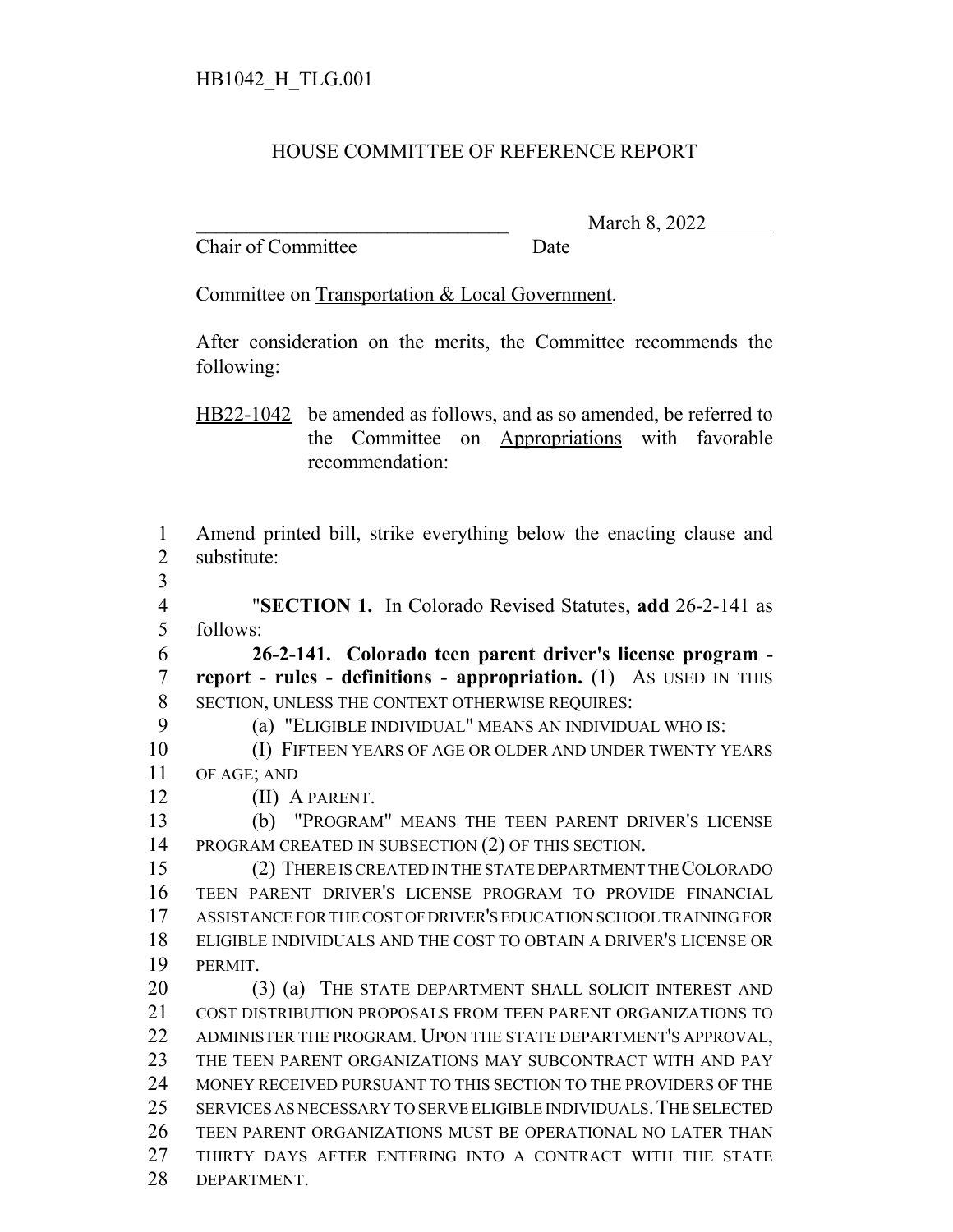## HOUSE COMMITTEE OF REFERENCE REPORT

Chair of Committee Date

March 8, 2022

Committee on Transportation & Local Government.

After consideration on the merits, the Committee recommends the following:

HB22-1042 be amended as follows, and as so amended, be referred to the Committee on Appropriations with favorable recommendation:

 Amend printed bill, strike everything below the enacting clause and substitute: "**SECTION 1.** In Colorado Revised Statutes, **add** 26-2-141 as follows: **26-2-141. Colorado teen parent driver's license program - report - rules - definitions - appropriation.** (1) AS USED IN THIS SECTION, UNLESS THE CONTEXT OTHERWISE REQUIRES: (a) "ELIGIBLE INDIVIDUAL" MEANS AN INDIVIDUAL WHO IS: (I) FIFTEEN YEARS OF AGE OR OLDER AND UNDER TWENTY YEARS OF AGE; AND (II) A PARENT. (b) "PROGRAM" MEANS THE TEEN PARENT DRIVER'S LICENSE PROGRAM CREATED IN SUBSECTION (2) OF THIS SECTION. (2) THERE IS CREATED IN THE STATE DEPARTMENT THE COLORADO TEEN PARENT DRIVER'S LICENSE PROGRAM TO PROVIDE FINANCIAL ASSISTANCE FOR THE COST OF DRIVER'S EDUCATION SCHOOL TRAINING FOR ELIGIBLE INDIVIDUALS AND THE COST TO OBTAIN A DRIVER'S LICENSE OR PERMIT. 20 (3) (a) THE STATE DEPARTMENT SHALL SOLICIT INTEREST AND COST DISTRIBUTION PROPOSALS FROM TEEN PARENT ORGANIZATIONS TO ADMINISTER THE PROGRAM. UPON THE STATE DEPARTMENT'S APPROVAL, THE TEEN PARENT ORGANIZATIONS MAY SUBCONTRACT WITH AND PAY MONEY RECEIVED PURSUANT TO THIS SECTION TO THE PROVIDERS OF THE SERVICES AS NECESSARY TO SERVE ELIGIBLE INDIVIDUALS.THE SELECTED TEEN PARENT ORGANIZATIONS MUST BE OPERATIONAL NO LATER THAN THIRTY DAYS AFTER ENTERING INTO A CONTRACT WITH THE STATE DEPARTMENT.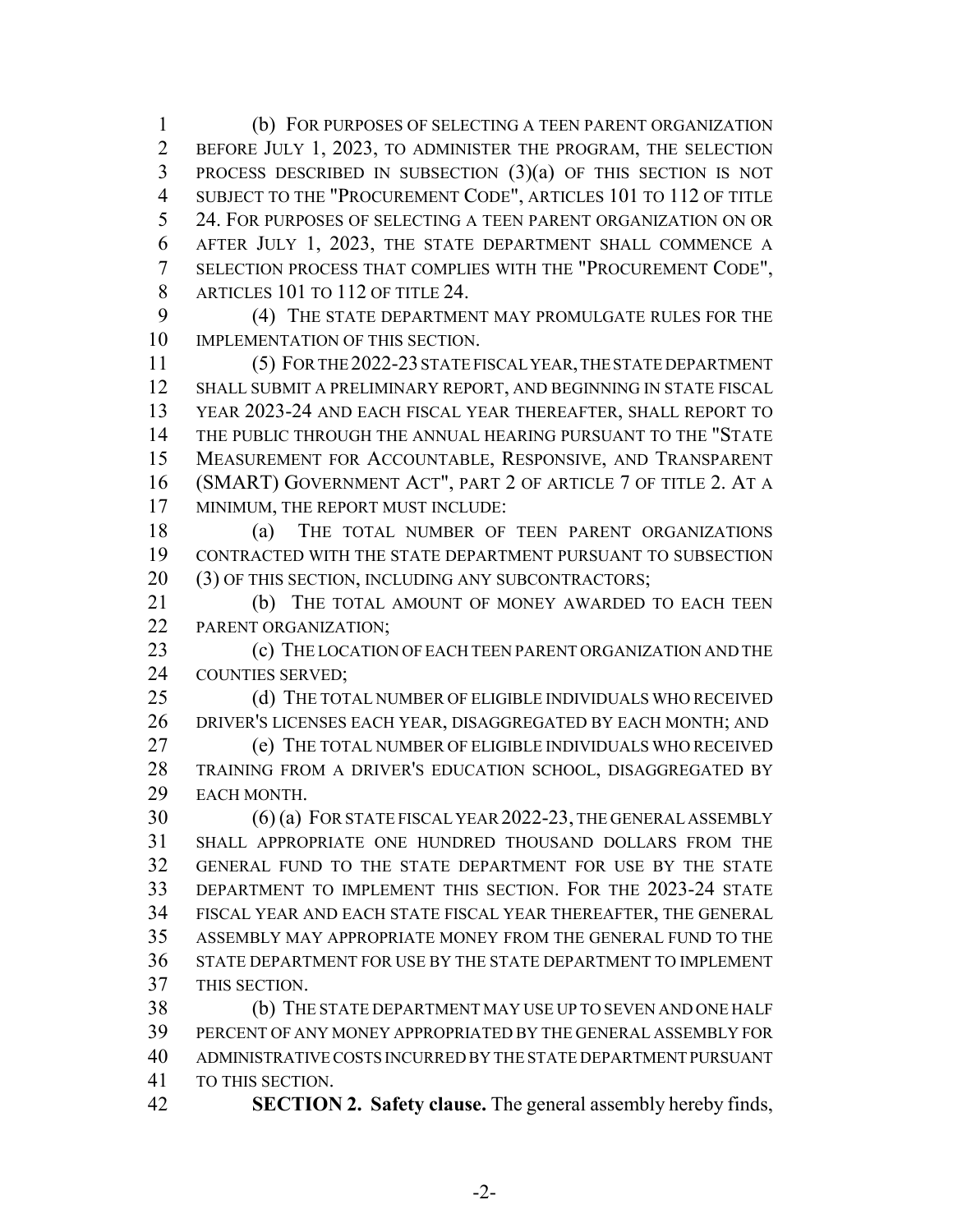(b) FOR PURPOSES OF SELECTING A TEEN PARENT ORGANIZATION BEFORE JULY 1, 2023, TO ADMINISTER THE PROGRAM, THE SELECTION PROCESS DESCRIBED IN SUBSECTION (3)(a) OF THIS SECTION IS NOT SUBJECT TO THE "PROCUREMENT CODE", ARTICLES 101 TO 112 OF TITLE 24. FOR PURPOSES OF SELECTING A TEEN PARENT ORGANIZATION ON OR AFTER JULY 1, 2023, THE STATE DEPARTMENT SHALL COMMENCE A SELECTION PROCESS THAT COMPLIES WITH THE "PROCUREMENT CODE", 8 ARTICLES 101 TO 112 OF TITLE 24.

 (4) THE STATE DEPARTMENT MAY PROMULGATE RULES FOR THE IMPLEMENTATION OF THIS SECTION.

 (5) FOR THE 2022-23 STATE FISCAL YEAR, THE STATE DEPARTMENT SHALL SUBMIT A PRELIMINARY REPORT, AND BEGINNING IN STATE FISCAL YEAR 2023-24 AND EACH FISCAL YEAR THEREAFTER, SHALL REPORT TO THE PUBLIC THROUGH THE ANNUAL HEARING PURSUANT TO THE "STATE MEASUREMENT FOR ACCOUNTABLE, RESPONSIVE, AND TRANSPARENT (SMART) GOVERNMENT ACT", PART 2 OF ARTICLE 7 OF TITLE 2. AT A MINIMUM, THE REPORT MUST INCLUDE:

18 (a) THE TOTAL NUMBER OF TEEN PARENT ORGANIZATIONS CONTRACTED WITH THE STATE DEPARTMENT PURSUANT TO SUBSECTION (3) OF THIS SECTION, INCLUDING ANY SUBCONTRACTORS;

21 (b) THE TOTAL AMOUNT OF MONEY AWARDED TO EACH TEEN 22 PARENT ORGANIZATION;

 (c) THE LOCATION OF EACH TEEN PARENT ORGANIZATION AND THE COUNTIES SERVED;

25 (d) THE TOTAL NUMBER OF ELIGIBLE INDIVIDUALS WHO RECEIVED DRIVER'S LICENSES EACH YEAR, DISAGGREGATED BY EACH MONTH; AND (e) THE TOTAL NUMBER OF ELIGIBLE INDIVIDUALS WHO RECEIVED TRAINING FROM A DRIVER'S EDUCATION SCHOOL, DISAGGREGATED BY EACH MONTH.

 (6) (a) FOR STATE FISCAL YEAR 2022-23, THE GENERAL ASSEMBLY SHALL APPROPRIATE ONE HUNDRED THOUSAND DOLLARS FROM THE GENERAL FUND TO THE STATE DEPARTMENT FOR USE BY THE STATE DEPARTMENT TO IMPLEMENT THIS SECTION. FOR THE 2023-24 STATE FISCAL YEAR AND EACH STATE FISCAL YEAR THEREAFTER, THE GENERAL ASSEMBLY MAY APPROPRIATE MONEY FROM THE GENERAL FUND TO THE STATE DEPARTMENT FOR USE BY THE STATE DEPARTMENT TO IMPLEMENT

THIS SECTION.

 (b) THE STATE DEPARTMENT MAY USE UP TO SEVEN AND ONE HALF PERCENT OF ANY MONEY APPROPRIATED BY THE GENERAL ASSEMBLY FOR ADMINISTRATIVE COSTS INCURRED BY THE STATE DEPARTMENT PURSUANT TO THIS SECTION.

**SECTION 2. Safety clause.** The general assembly hereby finds,